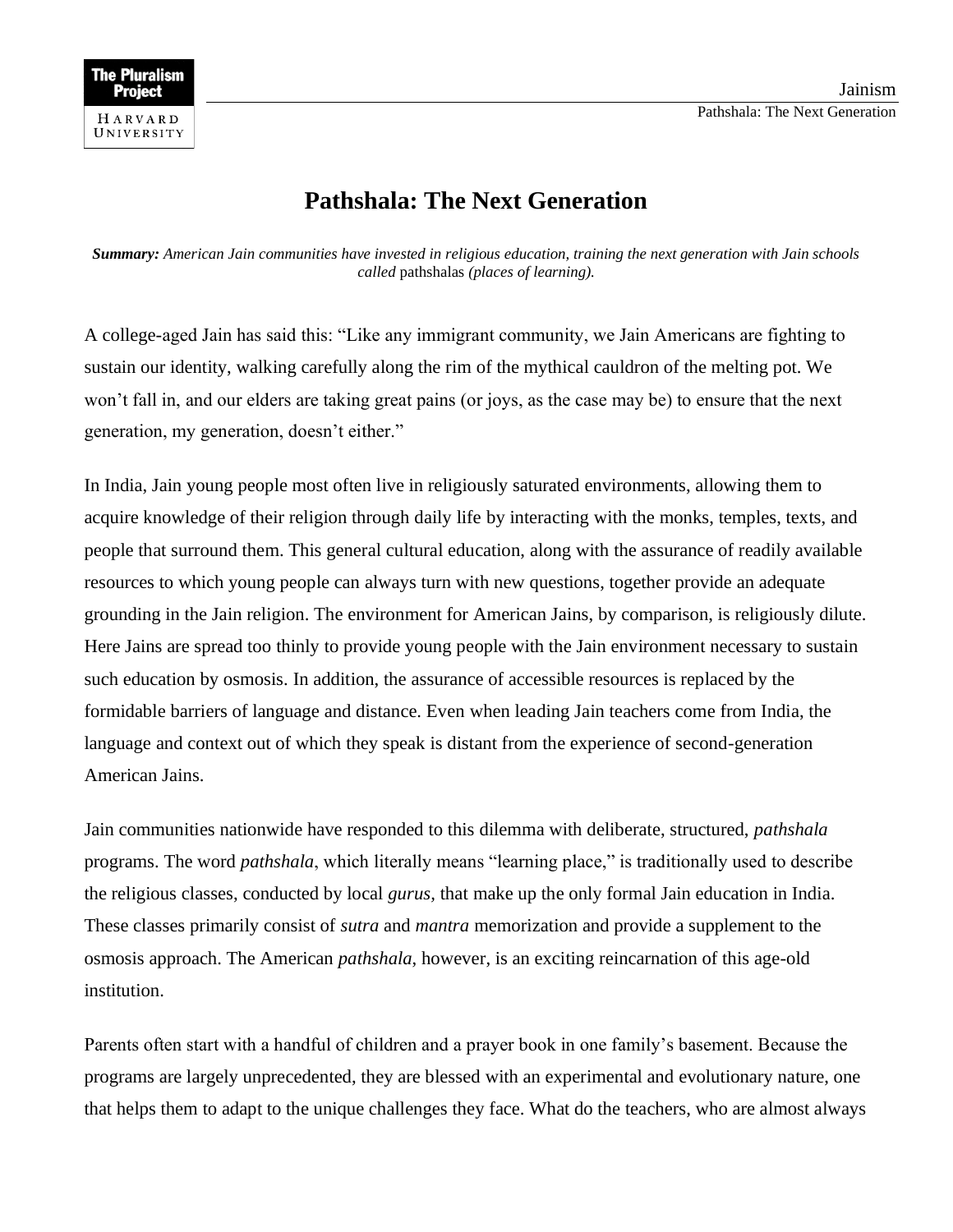## **Pathshala: The Next Generation**

*Summary: American Jain communities have invested in religious education, training the next generation with Jain schools called* pathshalas *(places of learning).*

A college-aged Jain has said this: "Like any immigrant community, we Jain Americans are fighting to sustain our identity, walking carefully along the rim of the mythical cauldron of the melting pot. We won't fall in, and our elders are taking great pains (or joys, as the case may be) to ensure that the next generation, my generation, doesn't either."

In India, Jain young people most often live in religiously saturated environments, allowing them to acquire knowledge of their religion through daily life by interacting with the monks, temples, texts, and people that surround them. This general cultural education, along with the assurance of readily available resources to which young people can always turn with new questions, together provide an adequate grounding in the Jain religion. The environment for American Jains, by comparison, is religiously dilute. Here Jains are spread too thinly to provide young people with the Jain environment necessary to sustain such education by osmosis. In addition, the assurance of accessible resources is replaced by the formidable barriers of language and distance. Even when leading Jain teachers come from India, the language and context out of which they speak is distant from the experience of second-generation American Jains.

Jain communities nationwide have responded to this dilemma with deliberate, structured, *pathshala* programs. The word *pathshala*, which literally means "learning place," is traditionally used to describe the religious classes, conducted by local *gurus,* that make up the only formal Jain education in India. These classes primarily consist of *sutra* and *mantra* memorization and provide a supplement to the osmosis approach. The American *pathshala*, however, is an exciting reincarnation of this age-old institution.

Parents often start with a handful of children and a prayer book in one family's basement. Because the programs are largely unprecedented, they are blessed with an experimental and evolutionary nature, one that helps them to adapt to the unique challenges they face. What do the teachers, who are almost always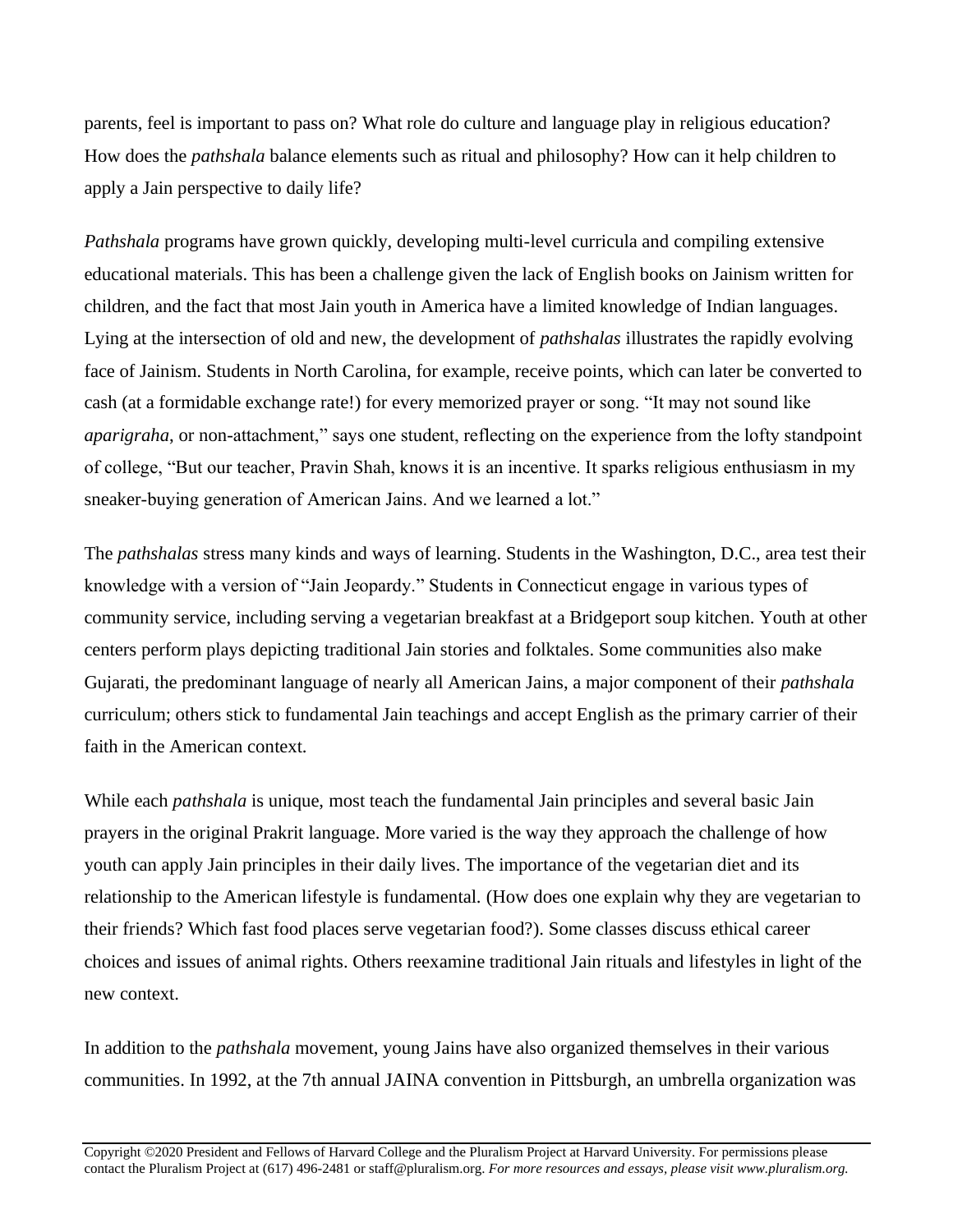parents, feel is important to pass on? What role do culture and language play in religious education? How does the *pathshala* balance elements such as ritual and philosophy? How can it help children to apply a Jain perspective to daily life?

*Pathshala* programs have grown quickly, developing multi-level curricula and compiling extensive educational materials. This has been a challenge given the lack of English books on Jainism written for children, and the fact that most Jain youth in America have a limited knowledge of Indian languages. Lying at the intersection of old and new, the development of *pathshalas* illustrates the rapidly evolving face of Jainism. Students in North Carolina, for example, receive points, which can later be converted to cash (at a formidable exchange rate!) for every memorized prayer or song. "It may not sound like *aparigraha*, or non-attachment," says one student, reflecting on the experience from the lofty standpoint of college, "But our teacher, Pravin Shah, knows it is an incentive. It sparks religious enthusiasm in my sneaker-buying generation of American Jains. And we learned a lot."

The *pathshalas* stress many kinds and ways of learning. Students in the Washington, D.C., area test their knowledge with a version of "Jain Jeopardy." Students in Connecticut engage in various types of community service, including serving a vegetarian breakfast at a Bridgeport soup kitchen. Youth at other centers perform plays depicting traditional Jain stories and folktales. Some communities also make Gujarati, the predominant language of nearly all American Jains, a major component of their *pathshala* curriculum; others stick to fundamental Jain teachings and accept English as the primary carrier of their faith in the American context.

While each *pathshala* is unique, most teach the fundamental Jain principles and several basic Jain prayers in the original Prakrit language. More varied is the way they approach the challenge of how youth can apply Jain principles in their daily lives. The importance of the vegetarian diet and its relationship to the American lifestyle is fundamental. (How does one explain why they are vegetarian to their friends? Which fast food places serve vegetarian food?). Some classes discuss ethical career choices and issues of animal rights. Others reexamine traditional Jain rituals and lifestyles in light of the new context.

In addition to the *pathshala* movement, young Jains have also organized themselves in their various communities. In 1992, at the 7th annual JAINA convention in Pittsburgh, an umbrella organization was